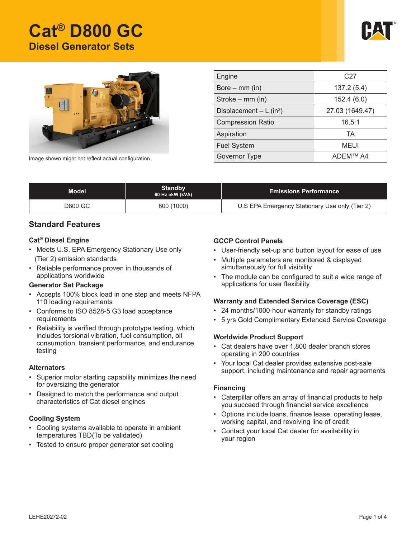# **Cat® D800 GC Diesel Generator Sets**





| Engine                    | C <sub>27</sub> |  |  |
|---------------------------|-----------------|--|--|
| Bore $-$ mm (in)          | 137.2(5.4)      |  |  |
| Stroke – mm (in)          | 152.4(6.0)      |  |  |
| Displacement $- L (in3)$  | 27.03 (1649.47) |  |  |
| <b>Compression Ratio</b>  | 16.5:1          |  |  |
| Aspiration                | TA              |  |  |
| <b>Fuel System</b>        | MEUI            |  |  |
| Governor Type<br>ADEM™ A4 |                 |  |  |

Image shown might not reflect actual configuration.

| Standby<br><b>Model</b><br>60 Hz ekW (kVA) |            | <b>Emissions Performance</b>                   |  |
|--------------------------------------------|------------|------------------------------------------------|--|
| D800 GC .                                  | 800 (1000) | U.S EPA Emergency Stationary Use only (Tier 2) |  |

### **Standard Features**

#### **Cat® Diesel Engine**

- Meets U.S. EPA Emergency Stationary Use only (Tier 2) emission standards
- Reliable performance proven in thousands of applications worldwide

#### **Generator Set Package**

- Accepts 100% block load in one step and meets NFPA 110 loading requirements
- Conforms to ISO 8528-5 G3 load acceptance requirements
- Reliability is verified through prototype testing, which includes torsional vibration, fuel consumption, oil consumption, transient performance, and endurance testing

#### **Alternators**

- Superior motor starting capability minimizes the need for oversizing the generator
- Designed to match the performance and output characteristics of Cat diesel engines

### **Cooling System**

- Cooling systems available to operate in ambient temperatures TBD(To be validated)
- Tested to ensure proper generator set cooling

### **GCCP Control Panels**

- User-friendly set-up and button layout for ease of use
- Multiple parameters are monitored & displayed simultaneously for full visibility
- The module can be configured to suit a wide range of applications for user flexibility

### **Warranty and Extended Service Coverage (ESC)**

- 24 months/1000-hour warranty for standby ratings
- • 5 yrs Gold Complimentary Extended Service Coverage

#### **Worldwide Product Support**

- • Cat dealers have over 1,800 dealer branch stores operating in 200 countries
- • Your local Cat dealer provides extensive post-sale support, including maintenance and repair agreements

#### **Financing**

- • Caterpillar offers an array of financial products to help you succeed through financial service excellence
- • Options include loans, finance lease, operating lease, working capital, and revolving line of credit
- Contact your local Cat dealer for availability in your region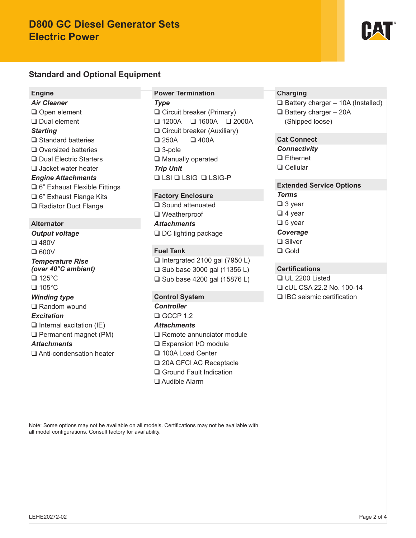# **D800 GC Diesel Generator Sets Electric Power**

# **Standard and Optional Equipment**

#### **Engine**

*Air Cleaner* Open element □ Dual element *Starting*  $\square$  Standard batteries □ Oversized batteries □ Dual Electric Starters □ Jacket water heater *Engine Attachments* 6" Exhaust Flexible Fittings □ 6" Exhaust Flange Kits **□ Radiator Duct Flange** 

#### **Alternator**

*Output voltage* 480V  $\square$  600V *Temperature Rise (over 40°C ambient)* □ 125°C  $\Box$  105°C *Winding type* **□ Random wound** *Excitation*  $\Box$  Internal excitation (IE) Permanent magnet (PM) *Attachments* Anti-condensation heater

#### **Power Termination**

*Type* □ Circuit breaker (Primary)  $\Box$  1200A  $\Box$  1600A  $\Box$  2000A □ Circuit breaker (Auxiliary)  $\Box$  250A  $\Box$  400A 3-pole □ Manually operated *Trip Unit* **Q LSI Q LSIG-P** 

#### **Factory Enclosure**

□ Sound attenuated □ Weatherproof *Attachments* □ DC lighting package

# **Fuel Tank**

 $\Box$  Intergrated 2100 gal (7950 L)  $\Box$  Sub base 3000 gal (11356 L) □ Sub base 4200 gal (15876 L)

# **Control System**

*Controller*  $CCF 1.2$ 

#### *Attachments*

- □ Remote annunciator module
- □ Expansion I/O module
- □ 100A Load Center
- □ 20A GFCI AC Receptacle
- □ Ground Fault Indication
- Audible Alarm

### **Charging**

 $\Box$  Battery charger – 10A (Installed)  $\Box$  Battery charger - 20A (Shipped loose)

# **Cat Connect**

*Connectivity*

□ Ethernet

□ Cellular

# **Extended Service Options**

*Terms*

- □ 3 year
- $\Box$  4 year
- $\Box$  5 year
- *Coverage*
- **□** Silver
- □ Gold

# **Certifications**

 UL 2200 Listed cUL CSA 22.2 No. 100-14 □ IBC seismic certification

Note: Some options may not be available on all models. Certifications may not be available with all model configurations. Consult factory for availability.

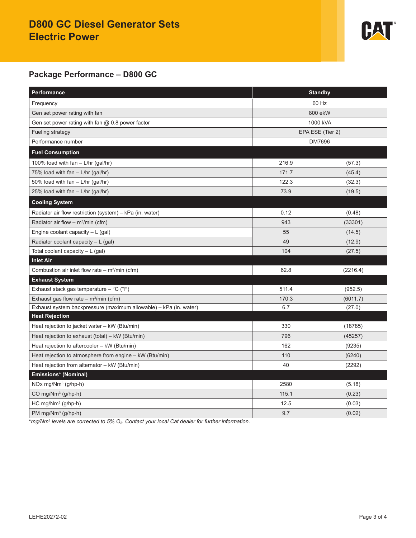# **D800 GC Diesel Generator Sets Electric Power**



# **Package Performance – D800 GC**

| Performance                                                       | <b>Standby</b>   |          |
|-------------------------------------------------------------------|------------------|----------|
| Frequency                                                         | 60 Hz            |          |
| Gen set power rating with fan                                     | 800 ekW          |          |
| Gen set power rating with fan $@$ 0.8 power factor                | 1000 kVA         |          |
| Fueling strategy                                                  | EPA ESE (Tier 2) |          |
| Performance number                                                | DM7696           |          |
| <b>Fuel Consumption</b>                                           |                  |          |
| 100% load with fan - L/hr (gal/hr)                                | 216.9            | (57.3)   |
| 75% load with fan - L/hr (gal/hr)                                 | 171.7            | (45.4)   |
| 50% load with fan - L/hr (gal/hr)                                 | 122.3            | (32.3)   |
| 25% load with fan $-$ L/hr (gal/hr)                               | 73.9             | (19.5)   |
| <b>Cooling System</b>                                             |                  |          |
| Radiator air flow restriction (system) - kPa (in. water)          | 0.12             | (0.48)   |
| Radiator air flow – $m^3/m$ in (cfm)                              | 943              | (33301)  |
| Engine coolant capacity $-L$ (gal)                                | 55               | (14.5)   |
| Radiator coolant capacity $-L$ (gal)                              | 49               | (12.9)   |
| Total coolant capacity - L (gal)                                  | 104              | (27.5)   |
| <b>Inlet Air</b>                                                  |                  |          |
| Combustion air inlet flow rate $-$ m <sup>3</sup> /min (cfm)      | 62.8             | (2216.4) |
| <b>Exhaust System</b>                                             |                  |          |
| Exhaust stack gas temperature $-$ °C (°F)                         | 511.4            | (952.5)  |
| Exhaust gas flow rate – $m^3/m$ in (cfm)                          | 170.3            | (6011.7) |
| Exhaust system backpressure (maximum allowable) - kPa (in. water) | 6.7              | (27.0)   |
| <b>Heat Rejection</b>                                             |                  |          |
| Heat rejection to jacket water - kW (Btu/min)                     | 330              | (18785)  |
| Heat rejection to exhaust (total) - kW (Btu/min)                  | 796              | (45257)  |
| Heat rejection to aftercooler - kW (Btu/min)                      | 162              | (9235)   |
| Heat rejection to atmosphere from engine - kW (Btu/min)           | 110              | (6240)   |
| Heat rejection from alternator - kW (Btu/min)                     | 40               | (2292)   |
| Emissions* (Nominal)                                              |                  |          |
| NOx mg/Nm <sup>3</sup> (g/hp-h)                                   | 2580             | (5.18)   |
| CO mg/Nm <sup>3</sup> (g/hp-h)                                    | 115.1            | (0.23)   |
| HC mg/Nm <sup>3</sup> (g/hp-h)                                    | 12.5             | (0.03)   |
| PM mg/Nm <sup>3</sup> (g/hp-h)                                    | 9.7              | (0.02)   |

\**mg/Nm3 levels are corrected to 5% O2. Contact your local Cat dealer for further information.*